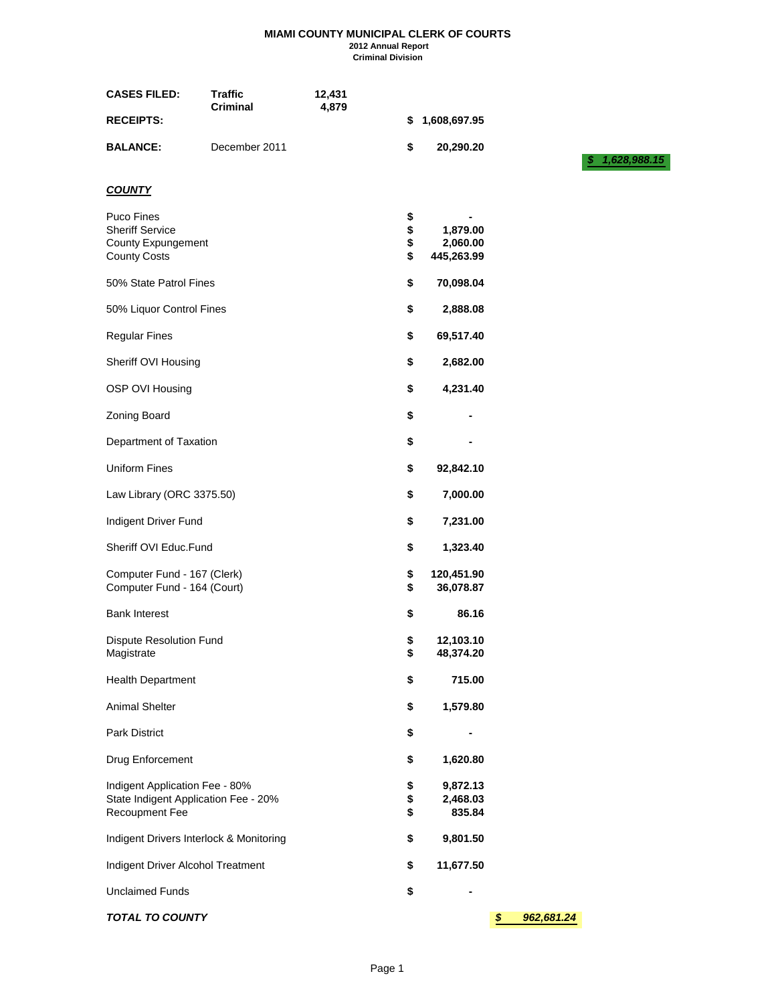#### **MIAMI COUNTY MUNICIPAL CLERK OF COURTS 2012 Annual Report Criminal Division**

| <b>CASES FILED:</b>                                                                      | <b>Traffic</b><br><b>Criminal</b> | 12,431<br>4,879 |                      |                                    |                  |                    |
|------------------------------------------------------------------------------------------|-----------------------------------|-----------------|----------------------|------------------------------------|------------------|--------------------|
| <b>RECEIPTS:</b>                                                                         |                                   |                 | \$                   | 1,608,697.95                       |                  |                    |
| <b>BALANCE:</b>                                                                          | December 2011                     |                 | \$                   | 20,290.20                          |                  | 1,628,988.15<br>S. |
| <b>COUNTY</b>                                                                            |                                   |                 |                      |                                    |                  |                    |
| <b>Puco Fines</b><br><b>Sheriff Service</b><br>County Expungement<br><b>County Costs</b> |                                   |                 | \$<br>\$<br>\$<br>\$ | 1,879.00<br>2,060.00<br>445,263.99 |                  |                    |
| 50% State Patrol Fines                                                                   |                                   |                 | \$                   | 70,098.04                          |                  |                    |
| 50% Liquor Control Fines                                                                 |                                   |                 | \$                   | 2,888.08                           |                  |                    |
| <b>Regular Fines</b>                                                                     |                                   |                 | \$                   | 69,517.40                          |                  |                    |
| Sheriff OVI Housing                                                                      |                                   |                 | \$                   | 2,682.00                           |                  |                    |
| OSP OVI Housing                                                                          |                                   |                 | \$                   | 4,231.40                           |                  |                    |
| Zoning Board                                                                             |                                   |                 | \$                   |                                    |                  |                    |
| Department of Taxation                                                                   |                                   |                 | \$                   |                                    |                  |                    |
| <b>Uniform Fines</b>                                                                     |                                   |                 | \$                   | 92,842.10                          |                  |                    |
| Law Library (ORC 3375.50)                                                                |                                   |                 | \$                   | 7,000.00                           |                  |                    |
| Indigent Driver Fund                                                                     |                                   |                 | \$                   | 7,231.00                           |                  |                    |
| Sheriff OVI Educ.Fund                                                                    |                                   |                 | \$                   | 1,323.40                           |                  |                    |
| Computer Fund - 167 (Clerk)<br>Computer Fund - 164 (Court)                               |                                   |                 | \$<br>\$             | 120,451.90<br>36,078.87            |                  |                    |
| <b>Bank Interest</b>                                                                     |                                   |                 | \$                   | 86.16                              |                  |                    |
| <b>Dispute Resolution Fund</b><br>Magistrate                                             |                                   |                 | \$<br>\$             | 12,103.10<br>48,374.20             |                  |                    |
| <b>Health Department</b>                                                                 |                                   |                 | \$                   | 715.00                             |                  |                    |
| Animal Shelter                                                                           |                                   |                 | \$                   | 1,579.80                           |                  |                    |
| Park District                                                                            |                                   |                 | \$                   |                                    |                  |                    |
| Drug Enforcement                                                                         |                                   |                 | \$                   | 1,620.80                           |                  |                    |
| Indigent Application Fee - 80%<br>State Indigent Application Fee - 20%<br>Recoupment Fee |                                   |                 | \$<br>\$<br>\$       | 9,872.13<br>2,468.03<br>835.84     |                  |                    |
| Indigent Drivers Interlock & Monitoring                                                  |                                   |                 | \$                   | 9,801.50                           |                  |                    |
| Indigent Driver Alcohol Treatment                                                        |                                   |                 | \$                   | 11,677.50                          |                  |                    |
| <b>Unclaimed Funds</b>                                                                   |                                   |                 | \$                   |                                    |                  |                    |
| <b>TOTAL TO COUNTY</b>                                                                   |                                   |                 |                      |                                    | \$<br>962,681.24 |                    |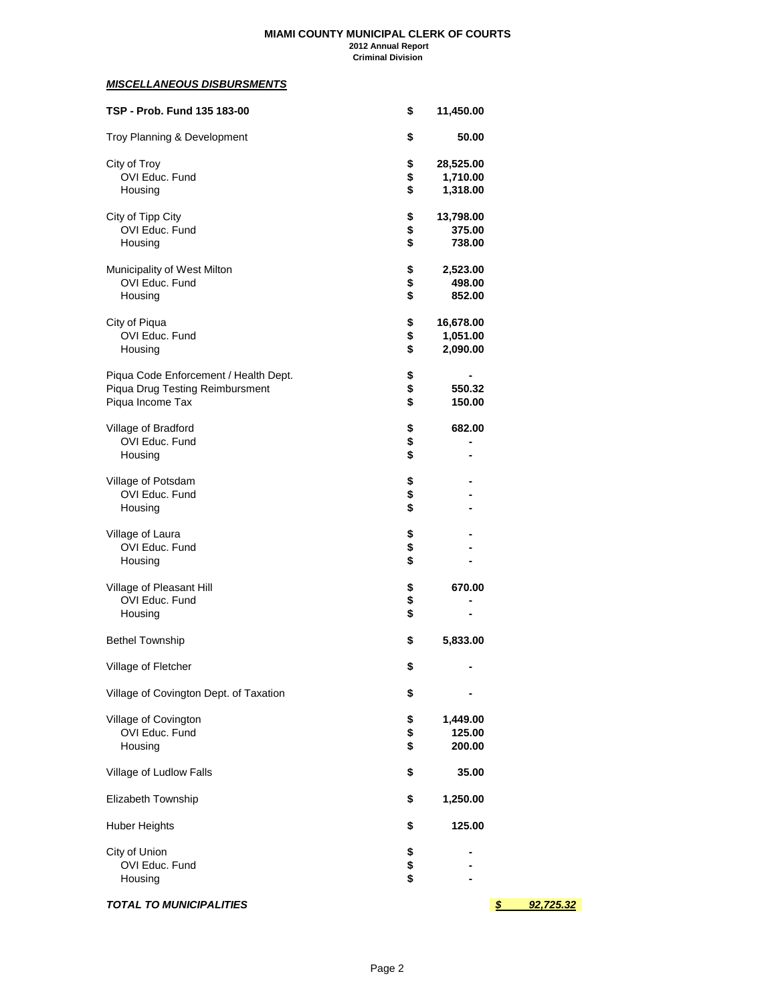#### **MIAMI COUNTY MUNICIPAL CLERK OF COURTS 2012 Annual Report Criminal Division**

### *MISCELLANEOUS DISBURSMENTS*

| TSP - Prob. Fund 135 183-00            | \$<br>11,450.00 |                               |
|----------------------------------------|-----------------|-------------------------------|
| Troy Planning & Development            | \$<br>50.00     |                               |
| City of Troy                           | \$<br>28,525.00 |                               |
| OVI Educ. Fund                         | \$<br>1,710.00  |                               |
| Housing                                | \$<br>1,318.00  |                               |
| City of Tipp City                      | \$<br>13,798.00 |                               |
| OVI Educ. Fund                         | \$<br>375.00    |                               |
| Housing                                | \$<br>738.00    |                               |
| Municipality of West Milton            | \$<br>2,523.00  |                               |
| OVI Educ. Fund                         | \$<br>498.00    |                               |
| Housing                                | \$<br>852.00    |                               |
| City of Piqua                          | \$<br>16,678.00 |                               |
| OVI Educ. Fund                         | \$<br>1,051.00  |                               |
| Housing                                | \$<br>2,090.00  |                               |
| Piqua Code Enforcement / Health Dept.  | \$              |                               |
| Piqua Drug Testing Reimbursment        | \$<br>550.32    |                               |
| Piqua Income Tax                       | \$<br>150.00    |                               |
| Village of Bradford                    | \$<br>682.00    |                               |
| OVI Educ. Fund                         | \$              |                               |
| Housing                                | \$              |                               |
| Village of Potsdam                     | \$              |                               |
| OVI Educ. Fund                         | \$              |                               |
| Housing                                | \$              |                               |
| Village of Laura                       | \$              |                               |
| OVI Educ. Fund                         | \$              |                               |
| Housing                                | \$              |                               |
| Village of Pleasant Hill               | \$<br>670.00    |                               |
| OVI Educ. Fund                         | \$              |                               |
| Housing                                | \$              |                               |
| <b>Bethel Township</b>                 | \$<br>5,833.00  |                               |
| Village of Fletcher                    | \$              |                               |
| Village of Covington Dept. of Taxation | \$              |                               |
| Village of Covington                   | \$<br>1,449.00  |                               |
| OVI Educ. Fund                         | \$<br>125.00    |                               |
| Housing                                | \$<br>200.00    |                               |
| Village of Ludlow Falls                | \$<br>35.00     |                               |
| Elizabeth Township                     | \$<br>1,250.00  |                               |
| <b>Huber Heights</b>                   | \$<br>125.00    |                               |
| City of Union                          | \$              |                               |
| OVI Educ. Fund                         | \$              |                               |
| Housing                                | \$              |                               |
| <b>TOTAL TO MUNICIPALITIES</b>         |                 | $\boldsymbol{s}$<br>92,725.32 |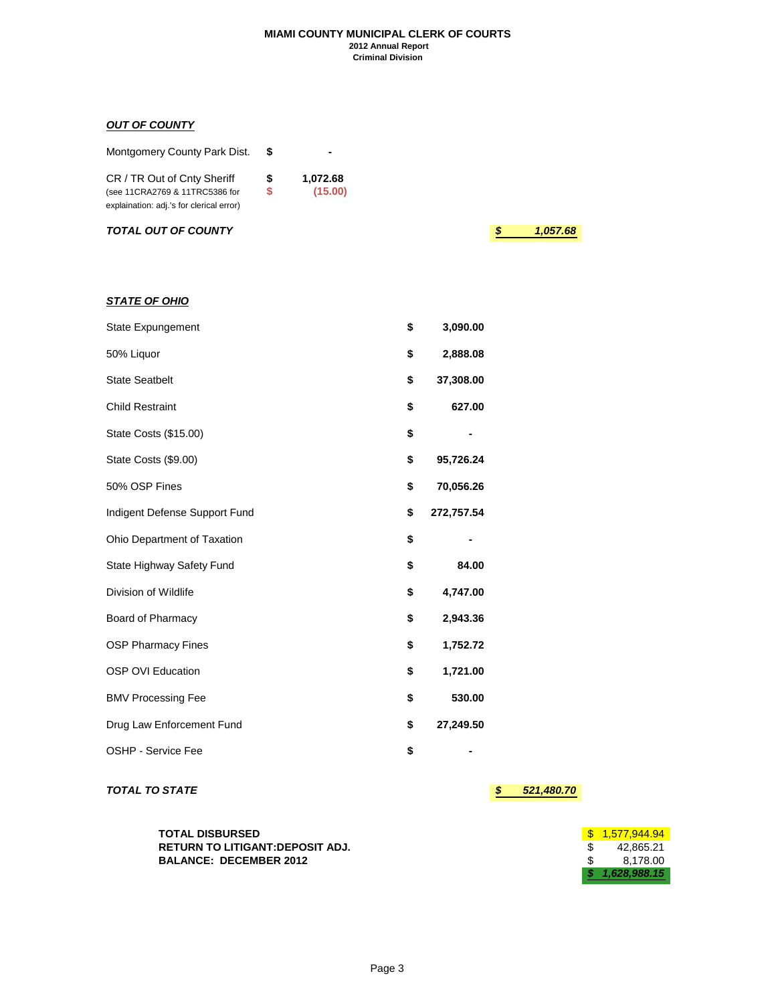#### **MIAMI COUNTY MUNICIPAL CLERK OF COURTS 2012 Annual Report Criminal Division**

## *OUT OF COUNTY*

*STATE OF OHIO*

| Montgomery County Park Dist.                                  |        |                     |
|---------------------------------------------------------------|--------|---------------------|
| CR / TR Out of Cnty Sheriff<br>(see 11CRA2769 & 11TRC5386 for | S<br>S | 1,072.68<br>(15.00) |
| explaination: adj.'s for clerical error)                      |        |                     |

*TOTAL OUT OF COUNTY \$ 1,057.68*

| <b>State Expungement</b>      | \$<br>3,090.00   |  |
|-------------------------------|------------------|--|
| 50% Liquor                    | \$<br>2,888.08   |  |
| <b>State Seatbelt</b>         | \$<br>37,308.00  |  |
| <b>Child Restraint</b>        | \$<br>627.00     |  |
| State Costs (\$15.00)         | \$               |  |
| State Costs (\$9.00)          | \$<br>95,726.24  |  |
| 50% OSP Fines                 | \$<br>70,056.26  |  |
| Indigent Defense Support Fund | \$<br>272,757.54 |  |
| Ohio Department of Taxation   | \$               |  |
| State Highway Safety Fund     | \$<br>84.00      |  |
| Division of Wildlife          | \$<br>4,747.00   |  |
| Board of Pharmacy             | \$<br>2,943.36   |  |
| <b>OSP Pharmacy Fines</b>     | \$<br>1,752.72   |  |
| <b>OSP OVI Education</b>      | \$<br>1,721.00   |  |
| <b>BMV Processing Fee</b>     | \$<br>530.00     |  |
| Drug Law Enforcement Fund     | \$<br>27,249.50  |  |
| OSHP - Service Fee            | \$               |  |

## *TOTAL TO STATE \$ 521,480.70*

| TOTAL DISBURSED                 | $\frac{\$}{1.577.944.94}$ |
|---------------------------------|---------------------------|
| RETURN TO LITIGANT:DEPOSIT ADJ. | 42.865.21                 |
| <b>BALANCE: DECEMBER 2012</b>   | 8.178.00                  |
|                                 | \$1.628.988.15            |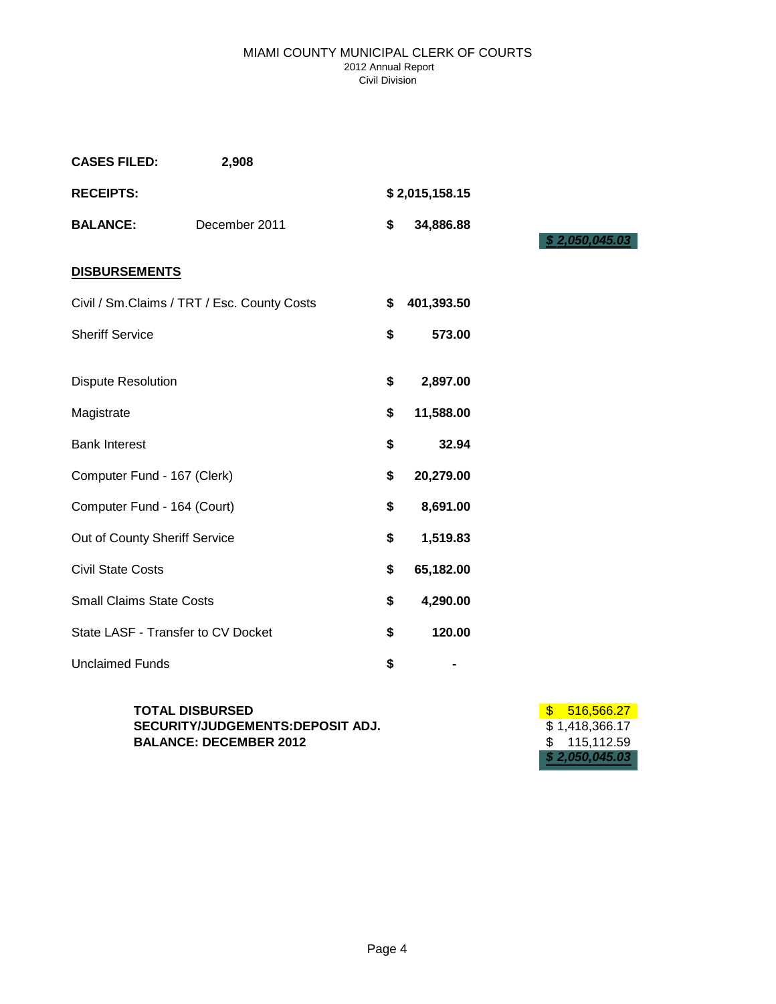### MIAMI COUNTY MUNICIPAL CLERK OF COURTS 2012 Annual Report Civil Division

| <b>CASES FILED:</b><br>2,908                |                  |
|---------------------------------------------|------------------|
| <b>RECEIPTS:</b>                            | \$2,015,158.15   |
| December 2011<br><b>BALANCE:</b>            | \$<br>34,886.88  |
| <b>DISBURSEMENTS</b>                        |                  |
| Civil / Sm.Claims / TRT / Esc. County Costs | \$<br>401,393.50 |
| <b>Sheriff Service</b>                      | \$<br>573.00     |
| <b>Dispute Resolution</b>                   | \$<br>2,897.00   |
| Magistrate                                  | \$<br>11,588.00  |
| <b>Bank Interest</b>                        | \$<br>32.94      |
| Computer Fund - 167 (Clerk)                 | \$<br>20,279.00  |
| Computer Fund - 164 (Court)                 | \$<br>8,691.00   |
| Out of County Sheriff Service               | \$<br>1,519.83   |
| <b>Civil State Costs</b>                    | \$<br>65,182.00  |
| <b>Small Claims State Costs</b>             | \$<br>4,290.00   |
| State LASF - Transfer to CV Docket          | \$<br>120.00     |
| <b>Unclaimed Funds</b>                      | \$<br>-          |

**TOTAL DISBURSED** \$ 516,566.27 **SECURITY/JUDGEMENTS:DEPOSIT ADJ.** \$ 1,418,366.17<br>BALANCE: DECEMBER 2012 \$ 115,112.59 **BALANCE: DECEMBER 2012** 

*\$ 2,050,045.03*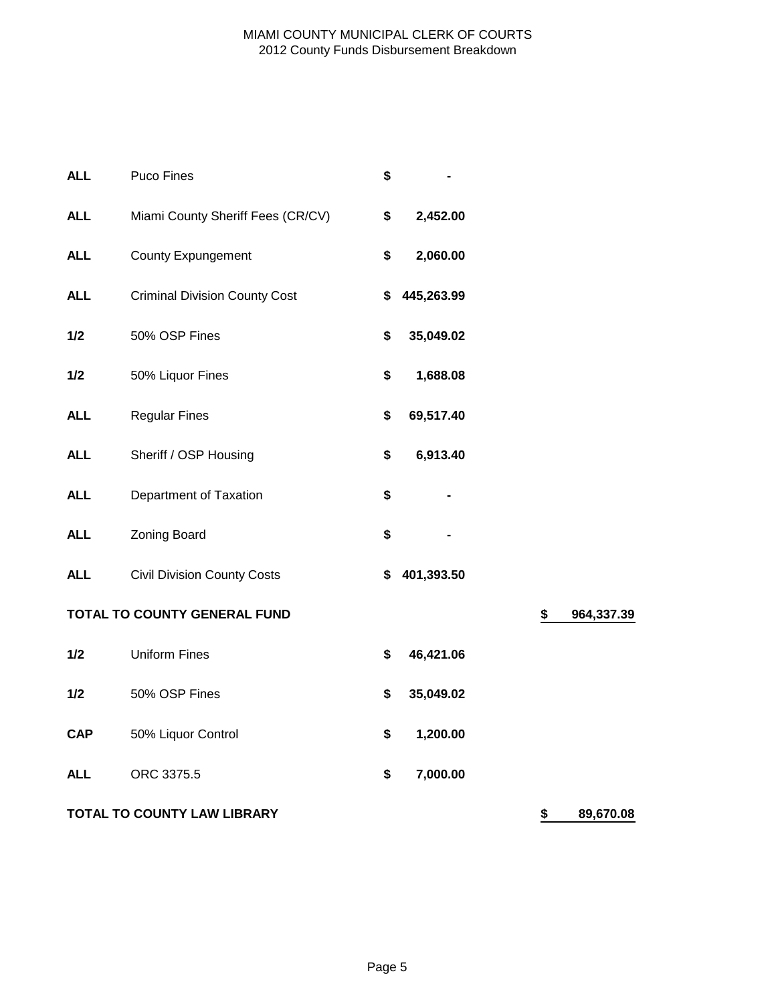# MIAMI COUNTY MUNICIPAL CLERK OF COURTS 2012 County Funds Disbursement Breakdown

| <b>ALL</b> | Puco Fines                           | \$               |                  |
|------------|--------------------------------------|------------------|------------------|
| <b>ALL</b> | Miami County Sheriff Fees (CR/CV)    | \$<br>2,452.00   |                  |
| <b>ALL</b> | <b>County Expungement</b>            | \$<br>2,060.00   |                  |
| <b>ALL</b> | <b>Criminal Division County Cost</b> | \$<br>445,263.99 |                  |
| 1/2        | 50% OSP Fines                        | \$<br>35,049.02  |                  |
| 1/2        | 50% Liquor Fines                     | \$<br>1,688.08   |                  |
| <b>ALL</b> | <b>Regular Fines</b>                 | \$<br>69,517.40  |                  |
| <b>ALL</b> | Sheriff / OSP Housing                | \$<br>6,913.40   |                  |
| <b>ALL</b> | Department of Taxation               | \$               |                  |
| <b>ALL</b> | Zoning Board                         | \$               |                  |
| <b>ALL</b> | <b>Civil Division County Costs</b>   | \$<br>401,393.50 |                  |
|            | TOTAL TO COUNTY GENERAL FUND         |                  | \$<br>964,337.39 |
| 1/2        | <b>Uniform Fines</b>                 | \$<br>46,421.06  |                  |
| 1/2        | 50% OSP Fines                        | \$<br>35,049.02  |                  |
| <b>CAP</b> | 50% Liquor Control                   | \$<br>1,200.00   |                  |
| <b>ALL</b> | ORC 3375.5                           | \$<br>7,000.00   |                  |
|            | TOTAL TO COUNTY LAW LIBRARY          |                  | \$<br>89,670.08  |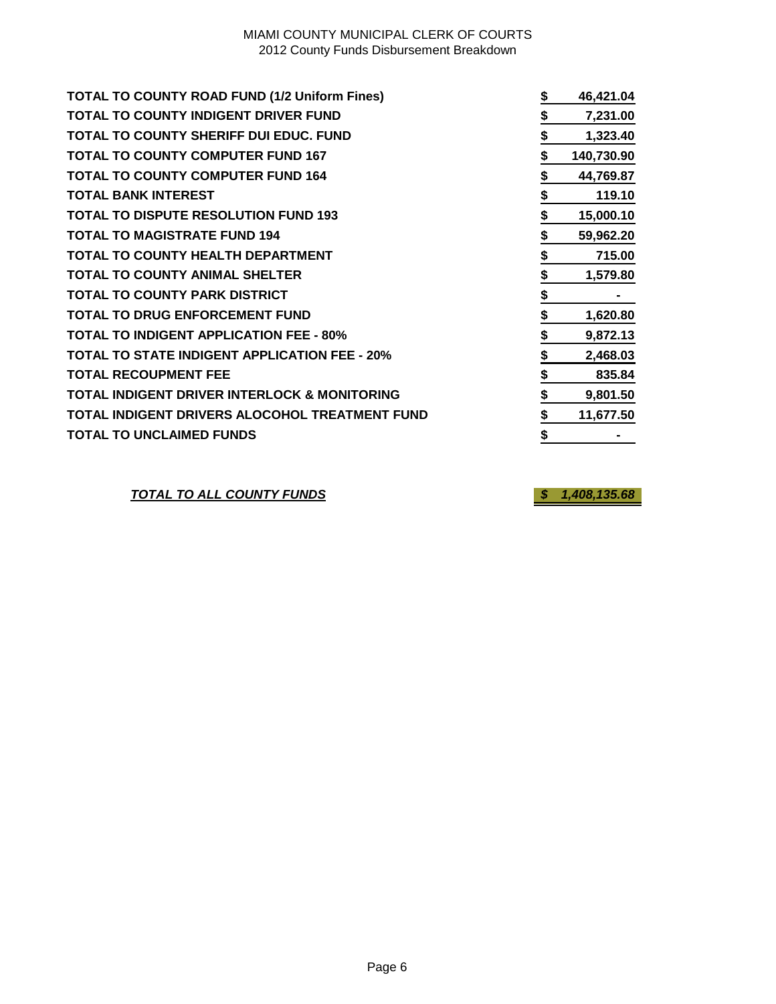## MIAMI COUNTY MUNICIPAL CLERK OF COURTS 2012 County Funds Disbursement Breakdown

| <b>TOTAL TO COUNTY ROAD FUND (1/2 Uniform Fines)</b>    | 46,421.04        |
|---------------------------------------------------------|------------------|
| <b>TOTAL TO COUNTY INDIGENT DRIVER FUND</b>             | \$<br>7,231.00   |
| <b>TOTAL TO COUNTY SHERIFF DUI EDUC. FUND</b>           | \$<br>1,323.40   |
| <b>TOTAL TO COUNTY COMPUTER FUND 167</b>                | \$<br>140,730.90 |
| <b>TOTAL TO COUNTY COMPUTER FUND 164</b>                | \$<br>44,769.87  |
| <b>TOTAL BANK INTEREST</b>                              | \$<br>119.10     |
| <b>TOTAL TO DISPUTE RESOLUTION FUND 193</b>             | \$<br>15,000.10  |
| <b>TOTAL TO MAGISTRATE FUND 194</b>                     | \$<br>59,962.20  |
| <b>TOTAL TO COUNTY HEALTH DEPARTMENT</b>                | \$<br>715.00     |
| <b>TOTAL TO COUNTY ANIMAL SHELTER</b>                   | \$<br>1,579.80   |
| <b>TOTAL TO COUNTY PARK DISTRICT</b>                    | \$               |
| <b>TOTAL TO DRUG ENFORCEMENT FUND</b>                   | \$<br>1,620.80   |
| <b>TOTAL TO INDIGENT APPLICATION FEE - 80%</b>          | \$<br>9,872.13   |
| <b>TOTAL TO STATE INDIGENT APPLICATION FEE - 20%</b>    | \$<br>2,468.03   |
| <b>TOTAL RECOUPMENT FEE</b>                             | \$<br>835.84     |
| <b>TOTAL INDIGENT DRIVER INTERLOCK &amp; MONITORING</b> | \$<br>9,801.50   |
| TOTAL INDIGENT DRIVERS ALOCOHOL TREATMENT FUND          | \$<br>11,677.50  |
| <b>TOTAL TO UNCLAIMED FUNDS</b>                         | \$               |

*TOTAL TO ALL COUNTY FUNDS \$ 1,408,135.68*